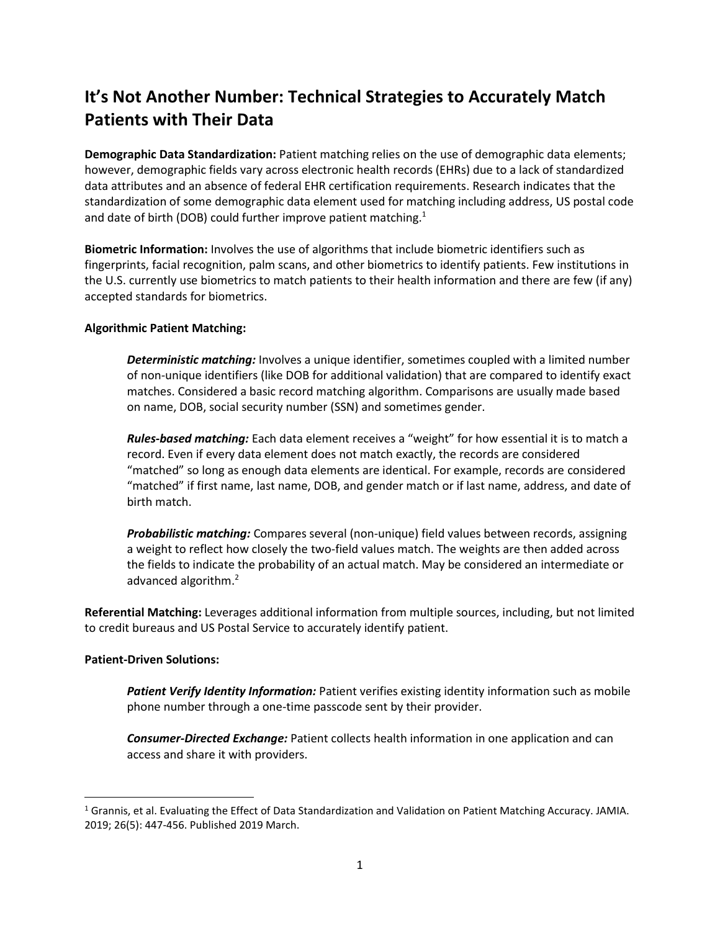## **It's Not Another Number: Technical Strategies to Accurately Match Patients with Their Data**

**Demographic Data Standardization:** Patient matching relies on the use of demographic data elements; however, demographic fields vary across electronic health records (EHRs) due to a lack of standardized data attributes and an absence of federal EHR certification requirements. Research indicates that the standardization of some demographic data element used for matching including address, US postal code and date of birth (DOB) could further improve patient matching.<sup>1</sup>

**Biometric Information:** Involves the use of algorithms that include biometric identifiers such as fingerprints, facial recognition, palm scans, and other biometrics to identify patients. Few institutions in the U.S. currently use biometrics to match patients to their health information and there are few (if any) accepted standards for biometrics.

## **Algorithmic Patient Matching:**

*Deterministic matching:* Involves a unique identifier, sometimes coupled with a limited number of non-unique identifiers (like DOB for additional validation) that are compared to identify exact matches. Considered a basic record matching algorithm. Comparisons are usually made based on name, DOB, social security number (SSN) and sometimes gender.

*Rules-based matching:* Each data element receives a "weight" for how essential it is to match a record. Even if every data element does not match exactly, the records are considered "matched" so long as enough data elements are identical. For example, records are considered "matched" if first name, last name, DOB, and gender match or if last name, address, and date of birth match.

*Probabilistic matching:* Compares several (non-unique) field values between records, assigning a weight to reflect how closely the two-field values match. The weights are then added across the fields to indicate the probability of an actual match. May be considered an intermediate or advanced algorithm. 2

**Referential Matching:** Leverages additional information from multiple sources, including, but not limited to credit bureaus and US Postal Service to accurately identify patient.

## **Patient-Driven Solutions:**

 $\overline{a}$ 

*Patient Verify Identity Information:* Patient verifies existing identity information such as mobile phone number through a one-time passcode sent by their provider.

*Consumer-Directed Exchange:* Patient collects health information in one application and can access and share it with providers.

<sup>&</sup>lt;sup>1</sup> Grannis, et al. Evaluating the Effect of Data Standardization and Validation on Patient Matching Accuracy. JAMIA. 2019; 26(5): 447-456. Published 2019 March.